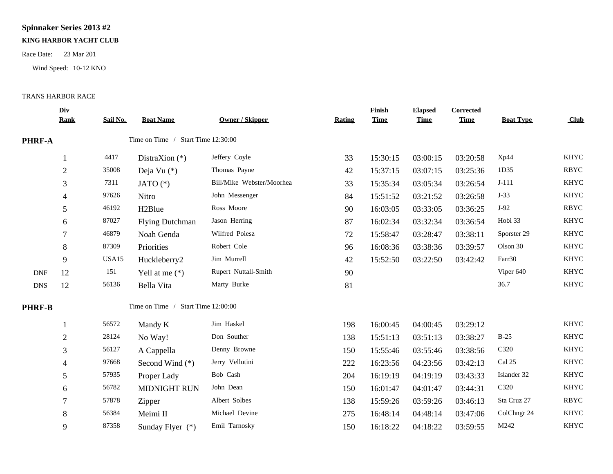## **Spinnaker Series 2013 #2**

## **KING HARBOR YACHT CLUB**

Race Date: 23 Mar 201

Wind Speed: 10-12 KNO

## TRANS HARBOR RACE

|               | Div<br><b>Rank</b>       | Sail No. | <b>Boat Name</b>                   | <b>Owner / Skipper</b>    | Rating | Finish<br><b>Time</b> | <b>Elapsed</b><br><b>Time</b> | Corrected<br><b>Time</b> | <b>Boat Type</b> | Club        |
|---------------|--------------------------|----------|------------------------------------|---------------------------|--------|-----------------------|-------------------------------|--------------------------|------------------|-------------|
| <b>PHRF-A</b> |                          |          | Time on Time / Start Time 12:30:00 |                           |        |                       |                               |                          |                  |             |
|               |                          | 4417     | DistraXion $(*)$                   | Jeffery Coyle             | 33     | 15:30:15              | 03:00:15                      | 03:20:58                 | Xp44             | <b>KHYC</b> |
|               | $\overline{2}$           | 35008    | Deja Vu (*)                        | Thomas Payne              | 42     | 15:37:15              | 03:07:15                      | 03:25:36                 | 1D35             | <b>RBYC</b> |
|               | 3                        | 7311     | JATO $(*)$                         | Bill/Mike Webster/Moorhea | 33     | 15:35:34              | 03:05:34                      | 03:26:54                 | $J-111$          | <b>KHYC</b> |
|               | $\overline{\mathcal{A}}$ | 97626    | Nitro                              | John Messenger            | 84     | 15:51:52              | 03:21:52                      | 03:26:58                 | $J-33$           | <b>KHYC</b> |
|               | 5                        | 46192    | H <sub>2</sub> Blue                | Ross Moore                | 90     | 16:03:05              | 03:33:05                      | 03:36:25                 | $J-92$           | <b>RBYC</b> |
|               | 6                        | 87027    | <b>Flying Dutchman</b>             | Jason Herring             | 87     | 16:02:34              | 03:32:34                      | 03:36:54                 | Hobi 33          | <b>KHYC</b> |
|               | 7                        | 46879    | Noah Genda                         | Wilfred Poiesz            | 72     | 15:58:47              | 03:28:47                      | 03:38:11                 | Sporster 29      | <b>KHYC</b> |
|               | 8                        | 87309    | Priorities                         | Robert Cole               | 96     | 16:08:36              | 03:38:36                      | 03:39:57                 | Olson 30         | <b>KHYC</b> |
|               | 9                        | USA15    | Huckleberry2                       | Jim Murrell               | 42     | 15:52:50              | 03:22:50                      | 03:42:42                 | Farr30           | <b>KHYC</b> |
| <b>DNF</b>    | 12                       | 151      | Yell at me $(*)$                   | Rupert Nuttall-Smith      | 90     |                       |                               |                          | Viper 640        | <b>KHYC</b> |
| <b>DNS</b>    | 12                       | 56136    | Bella Vita                         | Marty Burke               | 81     |                       |                               |                          | 36.7             | <b>KHYC</b> |
| <b>PHRF-B</b> |                          |          | Time on Time / Start Time 12:00:00 |                           |        |                       |                               |                          |                  |             |
|               |                          | 56572    | Mandy K                            | Jim Haskel                | 198    | 16:00:45              | 04:00:45                      | 03:29:12                 |                  | <b>KHYC</b> |
|               | $\overline{2}$           | 28124    | No Way!                            | Don Souther               | 138    | 15:51:13              | 03:51:13                      | 03:38:27                 | $B-25$           | <b>KHYC</b> |
|               | 3                        | 56127    | A Cappella                         | Denny Browne              | 150    | 15:55:46              | 03:55:46                      | 03:38:56                 | C320             | <b>KHYC</b> |
|               |                          | 97668    | Second Wind (*)                    | Jerry Vellutini           | 222    | 16:23:56              | 04:23:56                      | 03:42:13                 | Cal 25           | <b>KHYC</b> |
|               | 5                        | 57935    | Proper Lady                        | Bob Cash                  | 204    | 16:19:19              | 04:19:19                      | 03:43:33                 | Islander 32      | <b>KHYC</b> |
|               | 6                        | 56782    | <b>MIDNIGHT RUN</b>                | John Dean                 | 150    | 16:01:47              | 04:01:47                      | 03:44:31                 | C320             | <b>KHYC</b> |
|               | $\overline{7}$           | 57878    | Zipper                             | Albert Solbes             | 138    | 15:59:26              | 03:59:26                      | 03:46:13                 | Sta Cruz 27      | <b>RBYC</b> |
|               | 8                        | 56384    | Meimi II                           | Michael Devine            | 275    | 16:48:14              | 04:48:14                      | 03:47:06                 | ColChngr 24      | <b>KHYC</b> |
|               | 9                        | 87358    | Sunday Flyer (*)                   | Emil Tarnosky             | 150    | 16:18:22              | 04:18:22                      | 03:59:55                 | M242             | <b>KHYC</b> |